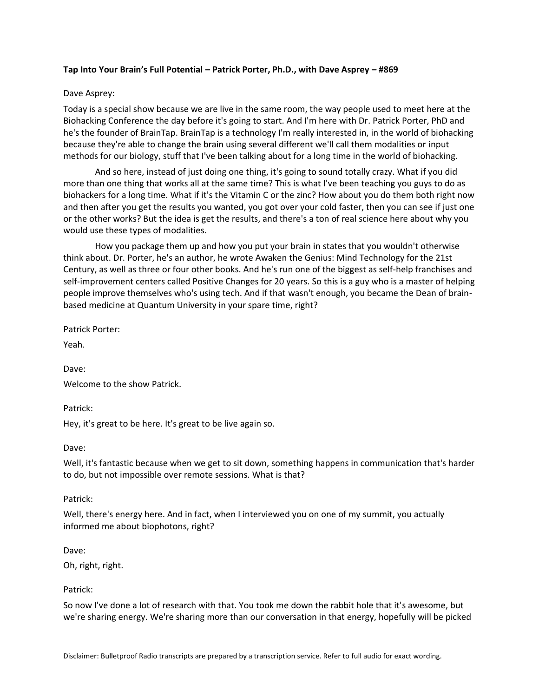### **Tap Into Your Brain's Full Potential – Patrick Porter, Ph.D., with Dave Asprey – #869**

#### Dave Asprey:

Today is a special show because we are live in the same room, the way people used to meet here at the Biohacking Conference the day before it's going to start. And I'm here with Dr. Patrick Porter, PhD and he's the founder of BrainTap. BrainTap is a technology I'm really interested in, in the world of biohacking because they're able to change the brain using several different we'll call them modalities or input methods for our biology, stuff that I've been talking about for a long time in the world of biohacking.

And so here, instead of just doing one thing, it's going to sound totally crazy. What if you did more than one thing that works all at the same time? This is what I've been teaching you guys to do as biohackers for a long time. What if it's the Vitamin C or the zinc? How about you do them both right now and then after you get the results you wanted, you got over your cold faster, then you can see if just one or the other works? But the idea is get the results, and there's a ton of real science here about why you would use these types of modalities.

How you package them up and how you put your brain in states that you wouldn't otherwise think about. Dr. Porter, he's an author, he wrote Awaken the Genius: Mind Technology for the 21st Century, as well as three or four other books. And he's run one of the biggest as self-help franchises and self-improvement centers called Positive Changes for 20 years. So this is a guy who is a master of helping people improve themselves who's using tech. And if that wasn't enough, you became the Dean of brainbased medicine at Quantum University in your spare time, right?

Patrick Porter:

Yeah.

Dave:

Welcome to the show Patrick.

Patrick:

Hey, it's great to be here. It's great to be live again so.

Dave:

Well, it's fantastic because when we get to sit down, something happens in communication that's harder to do, but not impossible over remote sessions. What is that?

#### Patrick:

Well, there's energy here. And in fact, when I interviewed you on one of my summit, you actually informed me about biophotons, right?

Dave:

Oh, right, right.

#### Patrick:

So now I've done a lot of research with that. You took me down the rabbit hole that it's awesome, but we're sharing energy. We're sharing more than our conversation in that energy, hopefully will be picked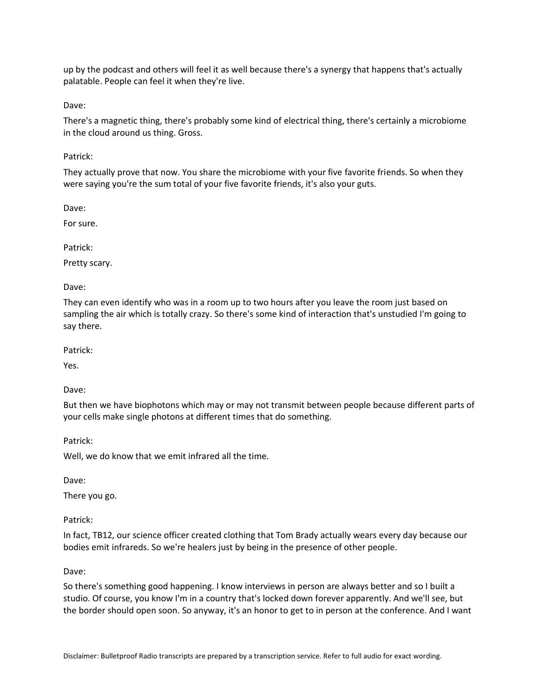up by the podcast and others will feel it as well because there's a synergy that happens that's actually palatable. People can feel it when they're live.

Dave:

There's a magnetic thing, there's probably some kind of electrical thing, there's certainly a microbiome in the cloud around us thing. Gross.

Patrick:

They actually prove that now. You share the microbiome with your five favorite friends. So when they were saying you're the sum total of your five favorite friends, it's also your guts.

Dave:

For sure.

Patrick:

Pretty scary.

Dave:

They can even identify who was in a room up to two hours after you leave the room just based on sampling the air which is totally crazy. So there's some kind of interaction that's unstudied I'm going to say there.

Patrick:

Yes.

Dave:

But then we have biophotons which may or may not transmit between people because different parts of your cells make single photons at different times that do something.

Patrick:

Well, we do know that we emit infrared all the time.

Dave:

There you go.

Patrick:

In fact, TB12, our science officer created clothing that Tom Brady actually wears every day because our bodies emit infrareds. So we're healers just by being in the presence of other people.

Dave:

So there's something good happening. I know interviews in person are always better and so I built a studio. Of course, you know I'm in a country that's locked down forever apparently. And we'll see, but the border should open soon. So anyway, it's an honor to get to in person at the conference. And I want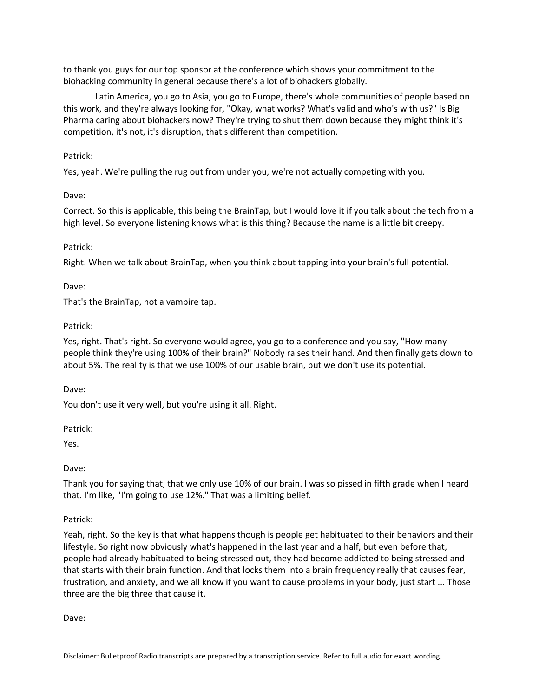to thank you guys for our top sponsor at the conference which shows your commitment to the biohacking community in general because there's a lot of biohackers globally.

Latin America, you go to Asia, you go to Europe, there's whole communities of people based on this work, and they're always looking for, "Okay, what works? What's valid and who's with us?" Is Big Pharma caring about biohackers now? They're trying to shut them down because they might think it's competition, it's not, it's disruption, that's different than competition.

# Patrick:

Yes, yeah. We're pulling the rug out from under you, we're not actually competing with you.

Dave:

Correct. So this is applicable, this being the BrainTap, but I would love it if you talk about the tech from a high level. So everyone listening knows what is this thing? Because the name is a little bit creepy.

# Patrick:

Right. When we talk about BrainTap, when you think about tapping into your brain's full potential.

# Dave:

That's the BrainTap, not a vampire tap.

# Patrick:

Yes, right. That's right. So everyone would agree, you go to a conference and you say, "How many people think they're using 100% of their brain?" Nobody raises their hand. And then finally gets down to about 5%. The reality is that we use 100% of our usable brain, but we don't use its potential.

Dave:

You don't use it very well, but you're using it all. Right.

Patrick:

Yes.

Dave:

Thank you for saying that, that we only use 10% of our brain. I was so pissed in fifth grade when I heard that. I'm like, "I'm going to use 12%." That was a limiting belief.

# Patrick:

Yeah, right. So the key is that what happens though is people get habituated to their behaviors and their lifestyle. So right now obviously what's happened in the last year and a half, but even before that, people had already habituated to being stressed out, they had become addicted to being stressed and that starts with their brain function. And that locks them into a brain frequency really that causes fear, frustration, and anxiety, and we all know if you want to cause problems in your body, just start ... Those three are the big three that cause it.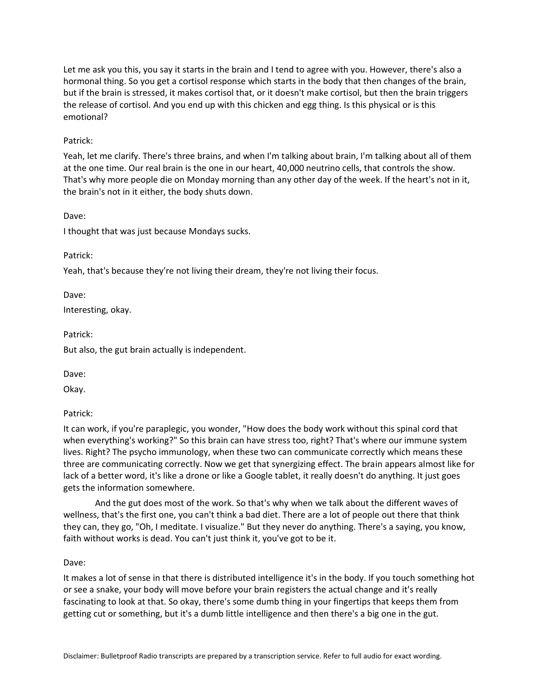Let me ask you this, you say it starts in the brain and I tend to agree with you. However, there's also a hormonal thing. So you get a cortisol response which starts in the body that then changes of the brain, but if the brain is stressed, it makes cortisol that, or it doesn't make cortisol, but then the brain triggers the release of cortisol. And you end up with this chicken and egg thing. Is this physical or is this emotional?

### Patrick:

Yeah, let me clarify. There's three brains, and when I'm talking about brain, I'm talking about all of them at the one time. Our real brain is the one in our heart, 40,000 neutrino cells, that controls the show. That's why more people die on Monday morning than any other day of the week. If the heart's not in it, the brain's not in it either, the body shuts down.

Dave:

I thought that was just because Mondays sucks.

Patrick:

Yeah, that's because they're not living their dream, they're not living their focus.

Dave:

Interesting, okay.

Patrick:

But also, the gut brain actually is independent.

Dave:

Okay.

Patrick:

It can work, if you're paraplegic, you wonder, "How does the body work without this spinal cord that when everything's working?" So this brain can have stress too, right? That's where our immune system lives. Right? The psycho immunology, when these two can communicate correctly which means these three are communicating correctly. Now we get that synergizing effect. The brain appears almost like for lack of a better word, it's like a drone or like a Google tablet, it really doesn't do anything. It just goes gets the information somewhere.

And the gut does most of the work. So that's why when we talk about the different waves of wellness, that's the first one, you can't think a bad diet. There are a lot of people out there that think they can, they go, "Oh, I meditate. I visualize." But they never do anything. There's a saying, you know, faith without works is dead. You can't just think it, you've got to be it.

Dave:

It makes a lot of sense in that there is distributed intelligence it's in the body. If you touch something hot or see a snake, your body will move before your brain registers the actual change and it's really fascinating to look at that. So okay, there's some dumb thing in your fingertips that keeps them from getting cut or something, but it's a dumb little intelligence and then there's a big one in the gut.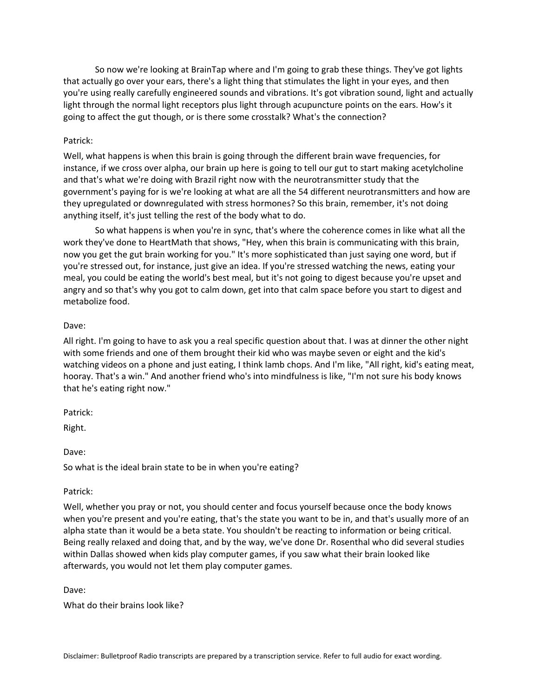So now we're looking at BrainTap where and I'm going to grab these things. They've got lights that actually go over your ears, there's a light thing that stimulates the light in your eyes, and then you're using really carefully engineered sounds and vibrations. It's got vibration sound, light and actually light through the normal light receptors plus light through acupuncture points on the ears. How's it going to affect the gut though, or is there some crosstalk? What's the connection?

### Patrick:

Well, what happens is when this brain is going through the different brain wave frequencies, for instance, if we cross over alpha, our brain up here is going to tell our gut to start making acetylcholine and that's what we're doing with Brazil right now with the neurotransmitter study that the government's paying for is we're looking at what are all the 54 different neurotransmitters and how are they upregulated or downregulated with stress hormones? So this brain, remember, it's not doing anything itself, it's just telling the rest of the body what to do.

So what happens is when you're in sync, that's where the coherence comes in like what all the work they've done to HeartMath that shows, "Hey, when this brain is communicating with this brain, now you get the gut brain working for you." It's more sophisticated than just saying one word, but if you're stressed out, for instance, just give an idea. If you're stressed watching the news, eating your meal, you could be eating the world's best meal, but it's not going to digest because you're upset and angry and so that's why you got to calm down, get into that calm space before you start to digest and metabolize food.

#### Dave:

All right. I'm going to have to ask you a real specific question about that. I was at dinner the other night with some friends and one of them brought their kid who was maybe seven or eight and the kid's watching videos on a phone and just eating, I think lamb chops. And I'm like, "All right, kid's eating meat, hooray. That's a win." And another friend who's into mindfulness is like, "I'm not sure his body knows that he's eating right now."

Patrick:

Right.

Dave:

So what is the ideal brain state to be in when you're eating?

#### Patrick:

Well, whether you pray or not, you should center and focus yourself because once the body knows when you're present and you're eating, that's the state you want to be in, and that's usually more of an alpha state than it would be a beta state. You shouldn't be reacting to information or being critical. Being really relaxed and doing that, and by the way, we've done Dr. Rosenthal who did several studies within Dallas showed when kids play computer games, if you saw what their brain looked like afterwards, you would not let them play computer games.

Dave:

What do their brains look like?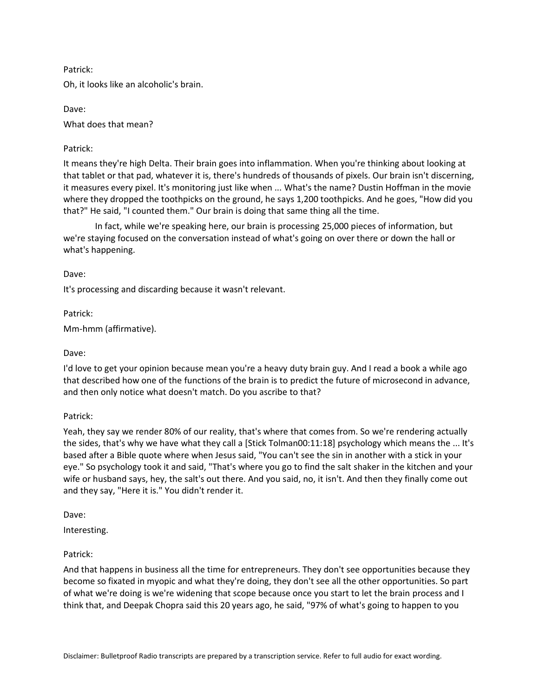# Patrick:

Oh, it looks like an alcoholic's brain.

Dave: What does that mean?

# Patrick:

It means they're high Delta. Their brain goes into inflammation. When you're thinking about looking at that tablet or that pad, whatever it is, there's hundreds of thousands of pixels. Our brain isn't discerning, it measures every pixel. It's monitoring just like when ... What's the name? Dustin Hoffman in the movie where they dropped the toothpicks on the ground, he says 1,200 toothpicks. And he goes, "How did you that?" He said, "I counted them." Our brain is doing that same thing all the time.

In fact, while we're speaking here, our brain is processing 25,000 pieces of information, but we're staying focused on the conversation instead of what's going on over there or down the hall or what's happening.

### Dave:

It's processing and discarding because it wasn't relevant.

Patrick:

Mm-hmm (affirmative).

### Dave:

I'd love to get your opinion because mean you're a heavy duty brain guy. And I read a book a while ago that described how one of the functions of the brain is to predict the future of microsecond in advance, and then only notice what doesn't match. Do you ascribe to that?

#### Patrick:

Yeah, they say we render 80% of our reality, that's where that comes from. So we're rendering actually the sides, that's why we have what they call a [Stick Tolman00:11:18] psychology which means the ... It's based after a Bible quote where when Jesus said, "You can't see the sin in another with a stick in your eye." So psychology took it and said, "That's where you go to find the salt shaker in the kitchen and your wife or husband says, hey, the salt's out there. And you said, no, it isn't. And then they finally come out and they say, "Here it is." You didn't render it.

Dave:

Interesting.

# Patrick:

And that happens in business all the time for entrepreneurs. They don't see opportunities because they become so fixated in myopic and what they're doing, they don't see all the other opportunities. So part of what we're doing is we're widening that scope because once you start to let the brain process and I think that, and Deepak Chopra said this 20 years ago, he said, "97% of what's going to happen to you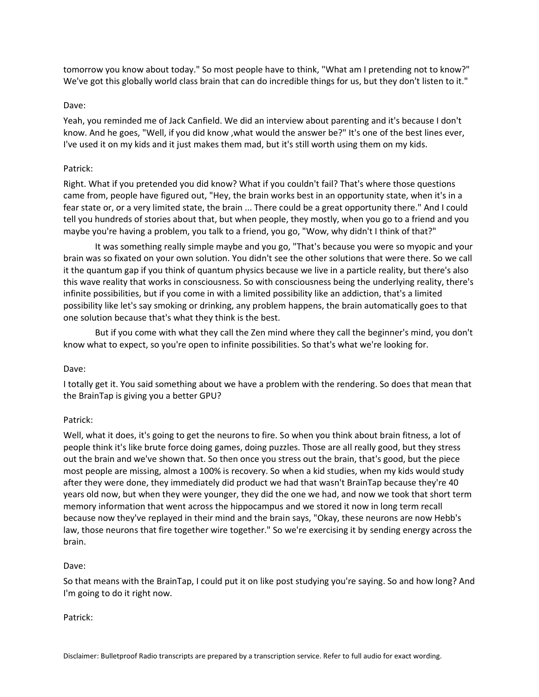tomorrow you know about today." So most people have to think, "What am I pretending not to know?" We've got this globally world class brain that can do incredible things for us, but they don't listen to it."

### Dave:

Yeah, you reminded me of Jack Canfield. We did an interview about parenting and it's because I don't know. And he goes, "Well, if you did know ,what would the answer be?" It's one of the best lines ever, I've used it on my kids and it just makes them mad, but it's still worth using them on my kids.

### Patrick:

Right. What if you pretended you did know? What if you couldn't fail? That's where those questions came from, people have figured out, "Hey, the brain works best in an opportunity state, when it's in a fear state or, or a very limited state, the brain ... There could be a great opportunity there." And I could tell you hundreds of stories about that, but when people, they mostly, when you go to a friend and you maybe you're having a problem, you talk to a friend, you go, "Wow, why didn't I think of that?"

It was something really simple maybe and you go, "That's because you were so myopic and your brain was so fixated on your own solution. You didn't see the other solutions that were there. So we call it the quantum gap if you think of quantum physics because we live in a particle reality, but there's also this wave reality that works in consciousness. So with consciousness being the underlying reality, there's infinite possibilities, but if you come in with a limited possibility like an addiction, that's a limited possibility like let's say smoking or drinking, any problem happens, the brain automatically goes to that one solution because that's what they think is the best.

But if you come with what they call the Zen mind where they call the beginner's mind, you don't know what to expect, so you're open to infinite possibilities. So that's what we're looking for.

#### Dave:

I totally get it. You said something about we have a problem with the rendering. So does that mean that the BrainTap is giving you a better GPU?

# Patrick:

Well, what it does, it's going to get the neurons to fire. So when you think about brain fitness, a lot of people think it's like brute force doing games, doing puzzles. Those are all really good, but they stress out the brain and we've shown that. So then once you stress out the brain, that's good, but the piece most people are missing, almost a 100% is recovery. So when a kid studies, when my kids would study after they were done, they immediately did product we had that wasn't BrainTap because they're 40 years old now, but when they were younger, they did the one we had, and now we took that short term memory information that went across the hippocampus and we stored it now in long term recall because now they've replayed in their mind and the brain says, "Okay, these neurons are now Hebb's law, those neurons that fire together wire together." So we're exercising it by sending energy across the brain.

#### Dave:

So that means with the BrainTap, I could put it on like post studying you're saying. So and how long? And I'm going to do it right now.

#### Patrick: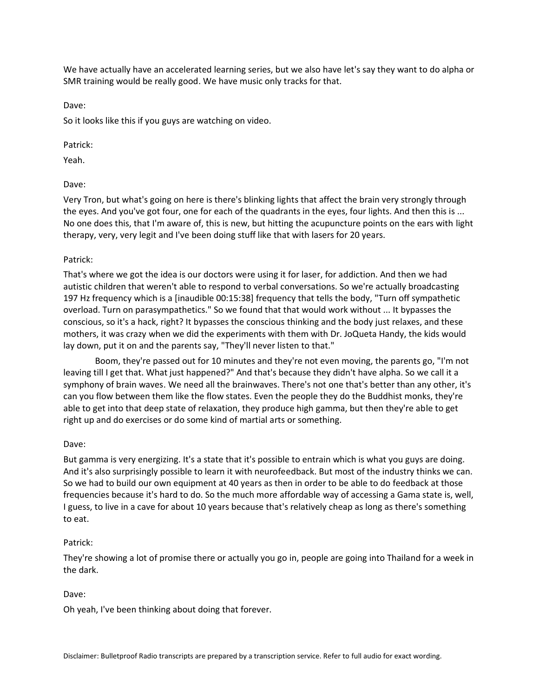We have actually have an accelerated learning series, but we also have let's say they want to do alpha or SMR training would be really good. We have music only tracks for that.

Dave:

So it looks like this if you guys are watching on video.

# Patrick:

Yeah.

# Dave:

Very Tron, but what's going on here is there's blinking lights that affect the brain very strongly through the eyes. And you've got four, one for each of the quadrants in the eyes, four lights. And then this is ... No one does this, that I'm aware of, this is new, but hitting the acupuncture points on the ears with light therapy, very, very legit and I've been doing stuff like that with lasers for 20 years.

# Patrick:

That's where we got the idea is our doctors were using it for laser, for addiction. And then we had autistic children that weren't able to respond to verbal conversations. So we're actually broadcasting 197 Hz frequency which is a [inaudible 00:15:38] frequency that tells the body, "Turn off sympathetic overload. Turn on parasympathetics." So we found that that would work without ... It bypasses the conscious, so it's a hack, right? It bypasses the conscious thinking and the body just relaxes, and these mothers, it was crazy when we did the experiments with them with Dr. JoQueta Handy, the kids would lay down, put it on and the parents say, "They'll never listen to that."

Boom, they're passed out for 10 minutes and they're not even moving, the parents go, "I'm not leaving till I get that. What just happened?" And that's because they didn't have alpha. So we call it a symphony of brain waves. We need all the brainwaves. There's not one that's better than any other, it's can you flow between them like the flow states. Even the people they do the Buddhist monks, they're able to get into that deep state of relaxation, they produce high gamma, but then they're able to get right up and do exercises or do some kind of martial arts or something.

# Dave:

But gamma is very energizing. It's a state that it's possible to entrain which is what you guys are doing. And it's also surprisingly possible to learn it with neurofeedback. But most of the industry thinks we can. So we had to build our own equipment at 40 years as then in order to be able to do feedback at those frequencies because it's hard to do. So the much more affordable way of accessing a Gama state is, well, I guess, to live in a cave for about 10 years because that's relatively cheap as long as there's something to eat.

# Patrick:

They're showing a lot of promise there or actually you go in, people are going into Thailand for a week in the dark.

# Dave:

Oh yeah, I've been thinking about doing that forever.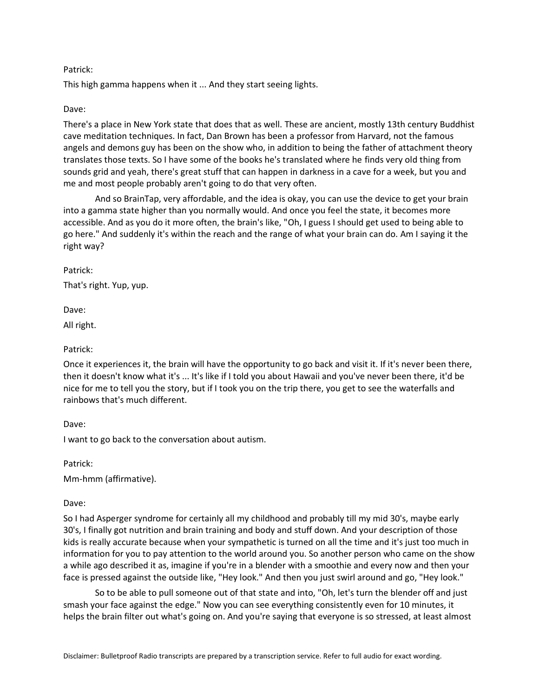### Patrick:

This high gamma happens when it ... And they start seeing lights.

#### Dave:

There's a place in New York state that does that as well. These are ancient, mostly 13th century Buddhist cave meditation techniques. In fact, Dan Brown has been a professor from Harvard, not the famous angels and demons guy has been on the show who, in addition to being the father of attachment theory translates those texts. So I have some of the books he's translated where he finds very old thing from sounds grid and yeah, there's great stuff that can happen in darkness in a cave for a week, but you and me and most people probably aren't going to do that very often.

And so BrainTap, very affordable, and the idea is okay, you can use the device to get your brain into a gamma state higher than you normally would. And once you feel the state, it becomes more accessible. And as you do it more often, the brain's like, "Oh, I guess I should get used to being able to go here." And suddenly it's within the reach and the range of what your brain can do. Am I saying it the right way?

Patrick:

That's right. Yup, yup.

Dave:

All right.

### Patrick:

Once it experiences it, the brain will have the opportunity to go back and visit it. If it's never been there, then it doesn't know what it's ... It's like if I told you about Hawaii and you've never been there, it'd be nice for me to tell you the story, but if I took you on the trip there, you get to see the waterfalls and rainbows that's much different.

Dave:

I want to go back to the conversation about autism.

Patrick:

Mm-hmm (affirmative).

#### Dave:

So I had Asperger syndrome for certainly all my childhood and probably till my mid 30's, maybe early 30's, I finally got nutrition and brain training and body and stuff down. And your description of those kids is really accurate because when your sympathetic is turned on all the time and it's just too much in information for you to pay attention to the world around you. So another person who came on the show a while ago described it as, imagine if you're in a blender with a smoothie and every now and then your face is pressed against the outside like, "Hey look." And then you just swirl around and go, "Hey look."

So to be able to pull someone out of that state and into, "Oh, let's turn the blender off and just smash your face against the edge." Now you can see everything consistently even for 10 minutes, it helps the brain filter out what's going on. And you're saying that everyone is so stressed, at least almost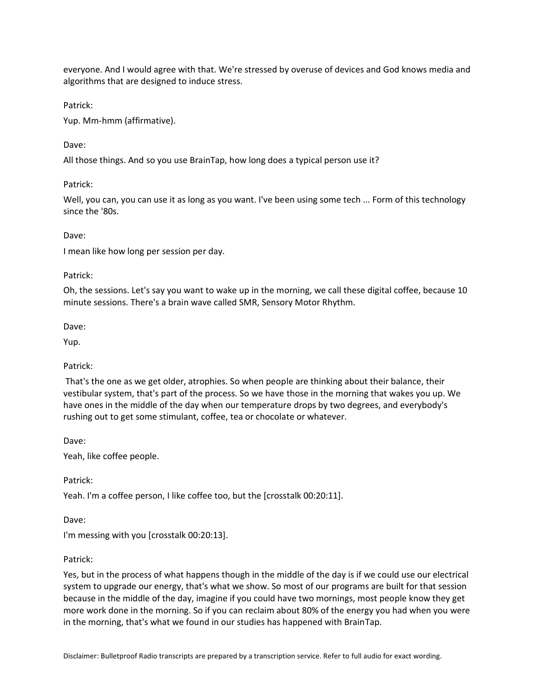everyone. And I would agree with that. We're stressed by overuse of devices and God knows media and algorithms that are designed to induce stress.

# Patrick:

Yup. Mm-hmm (affirmative).

# Dave:

All those things. And so you use BrainTap, how long does a typical person use it?

# Patrick:

Well, you can, you can use it as long as you want. I've been using some tech ... Form of this technology since the '80s.

# Dave:

I mean like how long per session per day.

# Patrick:

Oh, the sessions. Let's say you want to wake up in the morning, we call these digital coffee, because 10 minute sessions. There's a brain wave called SMR, Sensory Motor Rhythm.

Dave:

Yup.

# Patrick:

That's the one as we get older, atrophies. So when people are thinking about their balance, their vestibular system, that's part of the process. So we have those in the morning that wakes you up. We have ones in the middle of the day when our temperature drops by two degrees, and everybody's rushing out to get some stimulant, coffee, tea or chocolate or whatever.

Dave:

Yeah, like coffee people.

Patrick:

Yeah. I'm a coffee person, I like coffee too, but the [crosstalk 00:20:11].

Dave:

I'm messing with you [crosstalk 00:20:13].

# Patrick:

Yes, but in the process of what happens though in the middle of the day is if we could use our electrical system to upgrade our energy, that's what we show. So most of our programs are built for that session because in the middle of the day, imagine if you could have two mornings, most people know they get more work done in the morning. So if you can reclaim about 80% of the energy you had when you were in the morning, that's what we found in our studies has happened with BrainTap.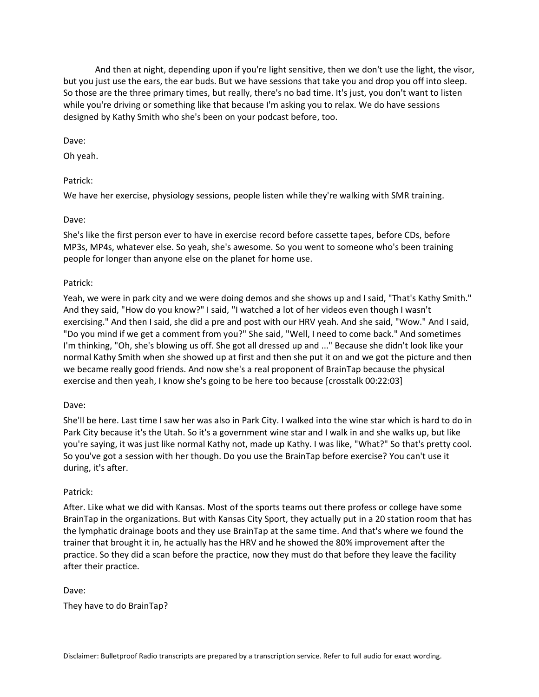And then at night, depending upon if you're light sensitive, then we don't use the light, the visor, but you just use the ears, the ear buds. But we have sessions that take you and drop you off into sleep. So those are the three primary times, but really, there's no bad time. It's just, you don't want to listen while you're driving or something like that because I'm asking you to relax. We do have sessions designed by Kathy Smith who she's been on your podcast before, too.

Dave:

Oh yeah.

# Patrick:

We have her exercise, physiology sessions, people listen while they're walking with SMR training.

### Dave:

She's like the first person ever to have in exercise record before cassette tapes, before CDs, before MP3s, MP4s, whatever else. So yeah, she's awesome. So you went to someone who's been training people for longer than anyone else on the planet for home use.

### Patrick:

Yeah, we were in park city and we were doing demos and she shows up and I said, "That's Kathy Smith." And they said, "How do you know?" I said, "I watched a lot of her videos even though I wasn't exercising." And then I said, she did a pre and post with our HRV yeah. And she said, "Wow." And I said, "Do you mind if we get a comment from you?" She said, "Well, I need to come back." And sometimes I'm thinking, "Oh, she's blowing us off. She got all dressed up and ..." Because she didn't look like your normal Kathy Smith when she showed up at first and then she put it on and we got the picture and then we became really good friends. And now she's a real proponent of BrainTap because the physical exercise and then yeah, I know she's going to be here too because [crosstalk 00:22:03]

#### Dave:

She'll be here. Last time I saw her was also in Park City. I walked into the wine star which is hard to do in Park City because it's the Utah. So it's a government wine star and I walk in and she walks up, but like you're saying, it was just like normal Kathy not, made up Kathy. I was like, "What?" So that's pretty cool. So you've got a session with her though. Do you use the BrainTap before exercise? You can't use it during, it's after.

#### Patrick:

After. Like what we did with Kansas. Most of the sports teams out there profess or college have some BrainTap in the organizations. But with Kansas City Sport, they actually put in a 20 station room that has the lymphatic drainage boots and they use BrainTap at the same time. And that's where we found the trainer that brought it in, he actually has the HRV and he showed the 80% improvement after the practice. So they did a scan before the practice, now they must do that before they leave the facility after their practice.

#### Dave:

They have to do BrainTap?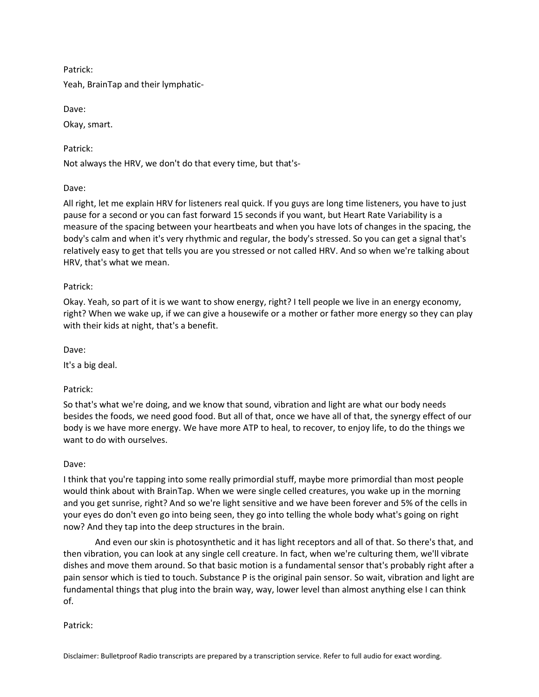# Patrick:

Yeah, BrainTap and their lymphatic-

Dave:

Okay, smart.

Patrick:

Not always the HRV, we don't do that every time, but that's-

Dave:

All right, let me explain HRV for listeners real quick. If you guys are long time listeners, you have to just pause for a second or you can fast forward 15 seconds if you want, but Heart Rate Variability is a measure of the spacing between your heartbeats and when you have lots of changes in the spacing, the body's calm and when it's very rhythmic and regular, the body's stressed. So you can get a signal that's relatively easy to get that tells you are you stressed or not called HRV. And so when we're talking about HRV, that's what we mean.

# Patrick:

Okay. Yeah, so part of it is we want to show energy, right? I tell people we live in an energy economy, right? When we wake up, if we can give a housewife or a mother or father more energy so they can play with their kids at night, that's a benefit.

Dave:

It's a big deal.

Patrick:

So that's what we're doing, and we know that sound, vibration and light are what our body needs besides the foods, we need good food. But all of that, once we have all of that, the synergy effect of our body is we have more energy. We have more ATP to heal, to recover, to enjoy life, to do the things we want to do with ourselves.

# Dave:

I think that you're tapping into some really primordial stuff, maybe more primordial than most people would think about with BrainTap. When we were single celled creatures, you wake up in the morning and you get sunrise, right? And so we're light sensitive and we have been forever and 5% of the cells in your eyes do don't even go into being seen, they go into telling the whole body what's going on right now? And they tap into the deep structures in the brain.

And even our skin is photosynthetic and it has light receptors and all of that. So there's that, and then vibration, you can look at any single cell creature. In fact, when we're culturing them, we'll vibrate dishes and move them around. So that basic motion is a fundamental sensor that's probably right after a pain sensor which is tied to touch. Substance P is the original pain sensor. So wait, vibration and light are fundamental things that plug into the brain way, way, lower level than almost anything else I can think of.

Patrick: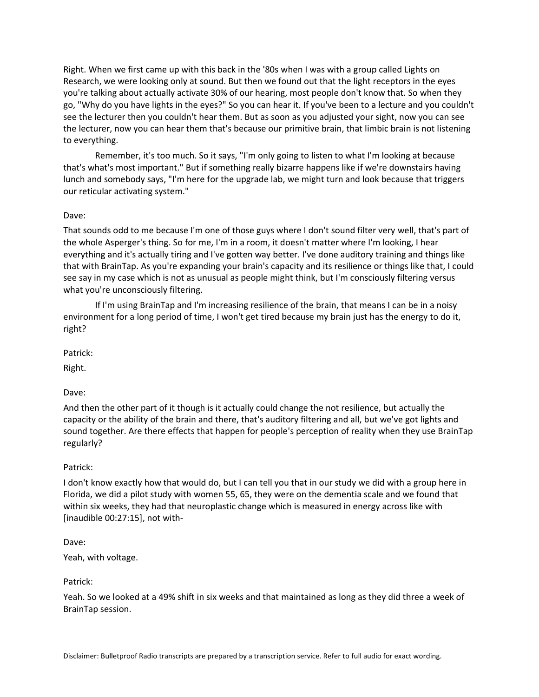Right. When we first came up with this back in the '80s when I was with a group called Lights on Research, we were looking only at sound. But then we found out that the light receptors in the eyes you're talking about actually activate 30% of our hearing, most people don't know that. So when they go, "Why do you have lights in the eyes?" So you can hear it. If you've been to a lecture and you couldn't see the lecturer then you couldn't hear them. But as soon as you adjusted your sight, now you can see the lecturer, now you can hear them that's because our primitive brain, that limbic brain is not listening to everything.

Remember, it's too much. So it says, "I'm only going to listen to what I'm looking at because that's what's most important." But if something really bizarre happens like if we're downstairs having lunch and somebody says, "I'm here for the upgrade lab, we might turn and look because that triggers our reticular activating system."

### Dave:

That sounds odd to me because I'm one of those guys where I don't sound filter very well, that's part of the whole Asperger's thing. So for me, I'm in a room, it doesn't matter where I'm looking, I hear everything and it's actually tiring and I've gotten way better. I've done auditory training and things like that with BrainTap. As you're expanding your brain's capacity and its resilience or things like that, I could see say in my case which is not as unusual as people might think, but I'm consciously filtering versus what you're unconsciously filtering.

If I'm using BrainTap and I'm increasing resilience of the brain, that means I can be in a noisy environment for a long period of time, I won't get tired because my brain just has the energy to do it, right?

Patrick:

Right.

Dave:

And then the other part of it though is it actually could change the not resilience, but actually the capacity or the ability of the brain and there, that's auditory filtering and all, but we've got lights and sound together. Are there effects that happen for people's perception of reality when they use BrainTap regularly?

#### Patrick:

I don't know exactly how that would do, but I can tell you that in our study we did with a group here in Florida, we did a pilot study with women 55, 65, they were on the dementia scale and we found that within six weeks, they had that neuroplastic change which is measured in energy across like with [inaudible 00:27:15], not with-

Dave:

Yeah, with voltage.

Patrick:

Yeah. So we looked at a 49% shift in six weeks and that maintained as long as they did three a week of BrainTap session.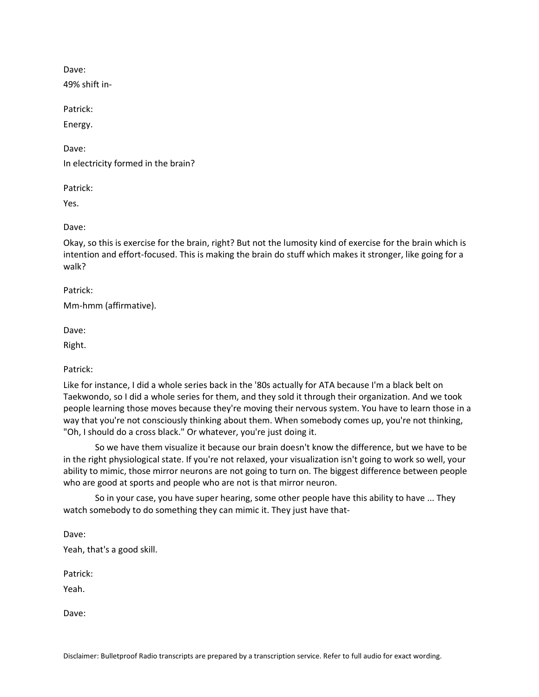Dave:

49% shift in-

Patrick:

Energy.

Dave:

In electricity formed in the brain?

Patrick:

Yes.

Dave:

Okay, so this is exercise for the brain, right? But not the lumosity kind of exercise for the brain which is intention and effort-focused. This is making the brain do stuff which makes it stronger, like going for a walk?

Patrick:

Mm-hmm (affirmative).

Dave:

Right.

Patrick:

Like for instance, I did a whole series back in the '80s actually for ATA because I'm a black belt on Taekwondo, so I did a whole series for them, and they sold it through their organization. And we took people learning those moves because they're moving their nervous system. You have to learn those in a way that you're not consciously thinking about them. When somebody comes up, you're not thinking, "Oh, I should do a cross black." Or whatever, you're just doing it.

So we have them visualize it because our brain doesn't know the difference, but we have to be in the right physiological state. If you're not relaxed, your visualization isn't going to work so well, your ability to mimic, those mirror neurons are not going to turn on. The biggest difference between people who are good at sports and people who are not is that mirror neuron.

So in your case, you have super hearing, some other people have this ability to have ... They watch somebody to do something they can mimic it. They just have that-

Dave:

Yeah, that's a good skill.

Patrick:

Yeah.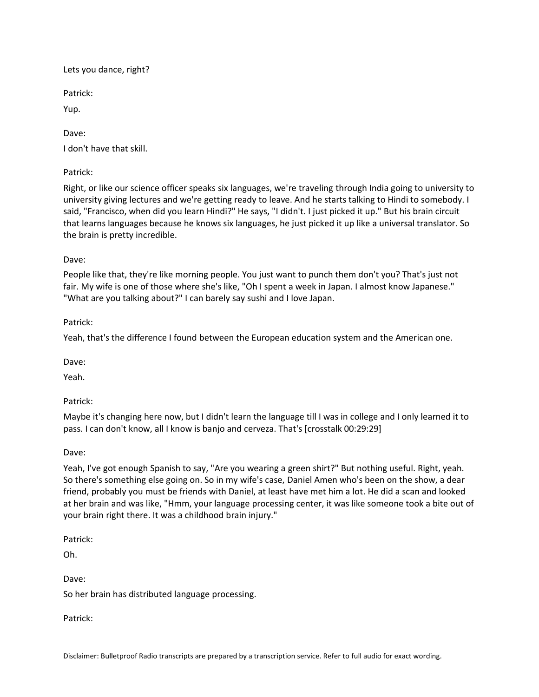Lets you dance, right?

Patrick:

Yup.

Dave:

I don't have that skill.

Patrick:

Right, or like our science officer speaks six languages, we're traveling through India going to university to university giving lectures and we're getting ready to leave. And he starts talking to Hindi to somebody. I said, "Francisco, when did you learn Hindi?" He says, "I didn't. I just picked it up." But his brain circuit that learns languages because he knows six languages, he just picked it up like a universal translator. So the brain is pretty incredible.

Dave:

People like that, they're like morning people. You just want to punch them don't you? That's just not fair. My wife is one of those where she's like, "Oh I spent a week in Japan. I almost know Japanese." "What are you talking about?" I can barely say sushi and I love Japan.

Patrick:

Yeah, that's the difference I found between the European education system and the American one.

Dave:

Yeah.

Patrick:

Maybe it's changing here now, but I didn't learn the language till I was in college and I only learned it to pass. I can don't know, all I know is banjo and cerveza. That's [crosstalk 00:29:29]

Dave:

Yeah, I've got enough Spanish to say, "Are you wearing a green shirt?" But nothing useful. Right, yeah. So there's something else going on. So in my wife's case, Daniel Amen who's been on the show, a dear friend, probably you must be friends with Daniel, at least have met him a lot. He did a scan and looked at her brain and was like, "Hmm, your language processing center, it was like someone took a bite out of your brain right there. It was a childhood brain injury."

Patrick:

Oh.

Dave:

So her brain has distributed language processing.

Patrick: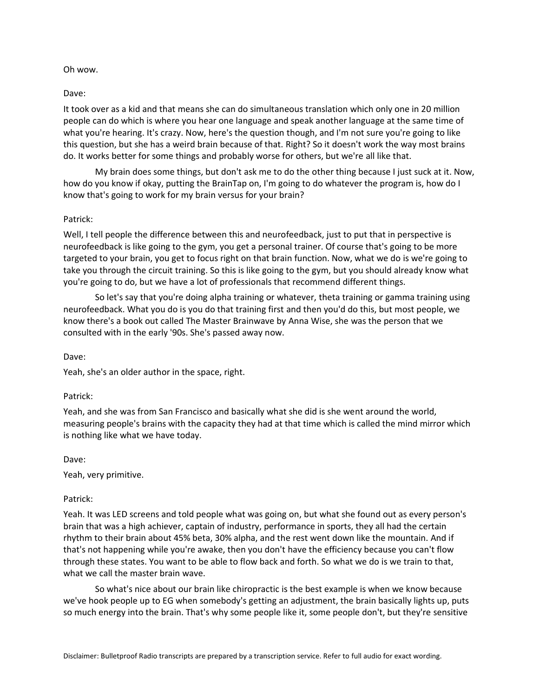#### Oh wow.

### Dave:

It took over as a kid and that means she can do simultaneous translation which only one in 20 million people can do which is where you hear one language and speak another language at the same time of what you're hearing. It's crazy. Now, here's the question though, and I'm not sure you're going to like this question, but she has a weird brain because of that. Right? So it doesn't work the way most brains do. It works better for some things and probably worse for others, but we're all like that.

My brain does some things, but don't ask me to do the other thing because I just suck at it. Now, how do you know if okay, putting the BrainTap on, I'm going to do whatever the program is, how do I know that's going to work for my brain versus for your brain?

### Patrick:

Well, I tell people the difference between this and neurofeedback, just to put that in perspective is neurofeedback is like going to the gym, you get a personal trainer. Of course that's going to be more targeted to your brain, you get to focus right on that brain function. Now, what we do is we're going to take you through the circuit training. So this is like going to the gym, but you should already know what you're going to do, but we have a lot of professionals that recommend different things.

So let's say that you're doing alpha training or whatever, theta training or gamma training using neurofeedback. What you do is you do that training first and then you'd do this, but most people, we know there's a book out called The Master Brainwave by Anna Wise, she was the person that we consulted with in the early '90s. She's passed away now.

#### Dave:

Yeah, she's an older author in the space, right.

# Patrick:

Yeah, and she was from San Francisco and basically what she did is she went around the world, measuring people's brains with the capacity they had at that time which is called the mind mirror which is nothing like what we have today.

Dave:

Yeah, very primitive.

# Patrick:

Yeah. It was LED screens and told people what was going on, but what she found out as every person's brain that was a high achiever, captain of industry, performance in sports, they all had the certain rhythm to their brain about 45% beta, 30% alpha, and the rest went down like the mountain. And if that's not happening while you're awake, then you don't have the efficiency because you can't flow through these states. You want to be able to flow back and forth. So what we do is we train to that, what we call the master brain wave.

So what's nice about our brain like chiropractic is the best example is when we know because we've hook people up to EG when somebody's getting an adjustment, the brain basically lights up, puts so much energy into the brain. That's why some people like it, some people don't, but they're sensitive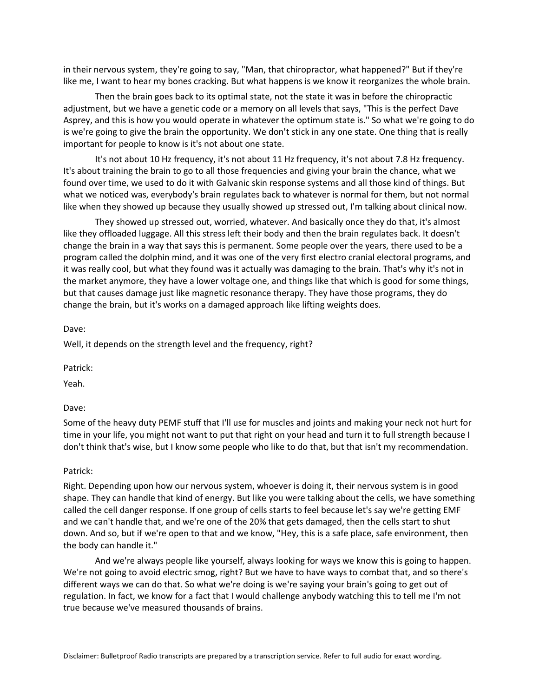in their nervous system, they're going to say, "Man, that chiropractor, what happened?" But if they're like me, I want to hear my bones cracking. But what happens is we know it reorganizes the whole brain.

Then the brain goes back to its optimal state, not the state it was in before the chiropractic adjustment, but we have a genetic code or a memory on all levels that says, "This is the perfect Dave Asprey, and this is how you would operate in whatever the optimum state is." So what we're going to do is we're going to give the brain the opportunity. We don't stick in any one state. One thing that is really important for people to know is it's not about one state.

It's not about 10 Hz frequency, it's not about 11 Hz frequency, it's not about 7.8 Hz frequency. It's about training the brain to go to all those frequencies and giving your brain the chance, what we found over time, we used to do it with Galvanic skin response systems and all those kind of things. But what we noticed was, everybody's brain regulates back to whatever is normal for them, but not normal like when they showed up because they usually showed up stressed out, I'm talking about clinical now.

They showed up stressed out, worried, whatever. And basically once they do that, it's almost like they offloaded luggage. All this stress left their body and then the brain regulates back. It doesn't change the brain in a way that says this is permanent. Some people over the years, there used to be a program called the dolphin mind, and it was one of the very first electro cranial electoral programs, and it was really cool, but what they found was it actually was damaging to the brain. That's why it's not in the market anymore, they have a lower voltage one, and things like that which is good for some things, but that causes damage just like magnetic resonance therapy. They have those programs, they do change the brain, but it's works on a damaged approach like lifting weights does.

Dave:

Well, it depends on the strength level and the frequency, right?

Patrick:

Yeah.

Dave:

Some of the heavy duty PEMF stuff that I'll use for muscles and joints and making your neck not hurt for time in your life, you might not want to put that right on your head and turn it to full strength because I don't think that's wise, but I know some people who like to do that, but that isn't my recommendation.

#### Patrick:

Right. Depending upon how our nervous system, whoever is doing it, their nervous system is in good shape. They can handle that kind of energy. But like you were talking about the cells, we have something called the cell danger response. If one group of cells starts to feel because let's say we're getting EMF and we can't handle that, and we're one of the 20% that gets damaged, then the cells start to shut down. And so, but if we're open to that and we know, "Hey, this is a safe place, safe environment, then the body can handle it."

And we're always people like yourself, always looking for ways we know this is going to happen. We're not going to avoid electric smog, right? But we have to have ways to combat that, and so there's different ways we can do that. So what we're doing is we're saying your brain's going to get out of regulation. In fact, we know for a fact that I would challenge anybody watching this to tell me I'm not true because we've measured thousands of brains.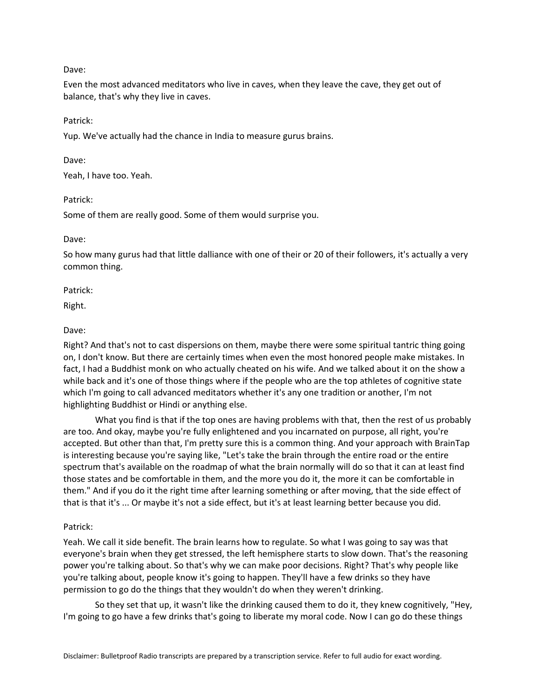Dave:

Even the most advanced meditators who live in caves, when they leave the cave, they get out of balance, that's why they live in caves.

Patrick:

Yup. We've actually had the chance in India to measure gurus brains.

Dave:

Yeah, I have too. Yeah.

Patrick:

Some of them are really good. Some of them would surprise you.

Dave:

So how many gurus had that little dalliance with one of their or 20 of their followers, it's actually a very common thing.

Patrick:

Right.

### Dave:

Right? And that's not to cast dispersions on them, maybe there were some spiritual tantric thing going on, I don't know. But there are certainly times when even the most honored people make mistakes. In fact, I had a Buddhist monk on who actually cheated on his wife. And we talked about it on the show a while back and it's one of those things where if the people who are the top athletes of cognitive state which I'm going to call advanced meditators whether it's any one tradition or another, I'm not highlighting Buddhist or Hindi or anything else.

What you find is that if the top ones are having problems with that, then the rest of us probably are too. And okay, maybe you're fully enlightened and you incarnated on purpose, all right, you're accepted. But other than that, I'm pretty sure this is a common thing. And your approach with BrainTap is interesting because you're saying like, "Let's take the brain through the entire road or the entire spectrum that's available on the roadmap of what the brain normally will do so that it can at least find those states and be comfortable in them, and the more you do it, the more it can be comfortable in them." And if you do it the right time after learning something or after moving, that the side effect of that is that it's ... Or maybe it's not a side effect, but it's at least learning better because you did.

# Patrick:

Yeah. We call it side benefit. The brain learns how to regulate. So what I was going to say was that everyone's brain when they get stressed, the left hemisphere starts to slow down. That's the reasoning power you're talking about. So that's why we can make poor decisions. Right? That's why people like you're talking about, people know it's going to happen. They'll have a few drinks so they have permission to go do the things that they wouldn't do when they weren't drinking.

So they set that up, it wasn't like the drinking caused them to do it, they knew cognitively, "Hey, I'm going to go have a few drinks that's going to liberate my moral code. Now I can go do these things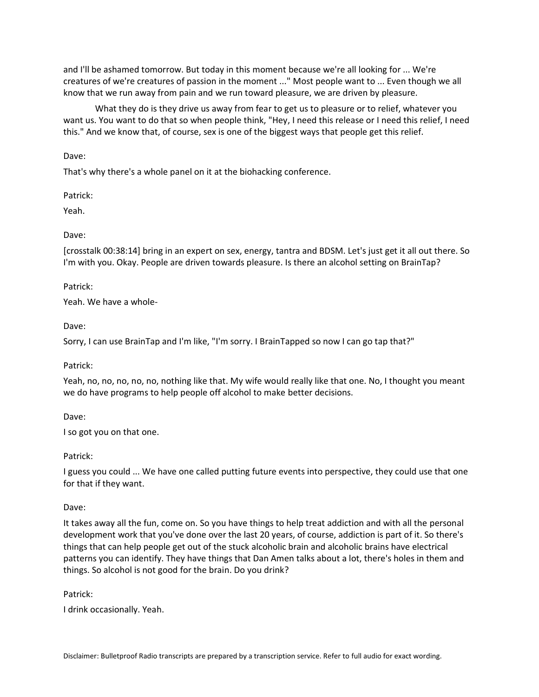and I'll be ashamed tomorrow. But today in this moment because we're all looking for ... We're creatures of we're creatures of passion in the moment ..." Most people want to ... Even though we all know that we run away from pain and we run toward pleasure, we are driven by pleasure.

What they do is they drive us away from fear to get us to pleasure or to relief, whatever you want us. You want to do that so when people think, "Hey, I need this release or I need this relief, I need this." And we know that, of course, sex is one of the biggest ways that people get this relief.

Dave:

That's why there's a whole panel on it at the biohacking conference.

Patrick:

Yeah.

### Dave:

[crosstalk 00:38:14] bring in an expert on sex, energy, tantra and BDSM. Let's just get it all out there. So I'm with you. Okay. People are driven towards pleasure. Is there an alcohol setting on BrainTap?

### Patrick:

Yeah. We have a whole-

Dave:

Sorry, I can use BrainTap and I'm like, "I'm sorry. I BrainTapped so now I can go tap that?"

Patrick:

Yeah, no, no, no, no, no, nothing like that. My wife would really like that one. No, I thought you meant we do have programs to help people off alcohol to make better decisions.

Dave:

I so got you on that one.

Patrick:

I guess you could ... We have one called putting future events into perspective, they could use that one for that if they want.

Dave:

It takes away all the fun, come on. So you have things to help treat addiction and with all the personal development work that you've done over the last 20 years, of course, addiction is part of it. So there's things that can help people get out of the stuck alcoholic brain and alcoholic brains have electrical patterns you can identify. They have things that Dan Amen talks about a lot, there's holes in them and things. So alcohol is not good for the brain. Do you drink?

Patrick:

I drink occasionally. Yeah.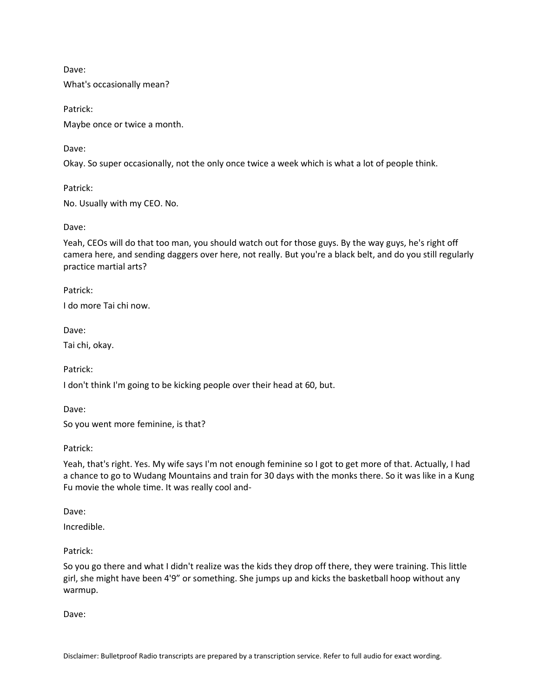Dave:

What's occasionally mean?

Patrick:

Maybe once or twice a month.

Dave:

Okay. So super occasionally, not the only once twice a week which is what a lot of people think.

Patrick:

No. Usually with my CEO. No.

Dave:

Yeah, CEOs will do that too man, you should watch out for those guys. By the way guys, he's right off camera here, and sending daggers over here, not really. But you're a black belt, and do you still regularly practice martial arts?

Patrick:

I do more Tai chi now.

Dave:

Tai chi, okay.

Patrick:

I don't think I'm going to be kicking people over their head at 60, but.

Dave:

So you went more feminine, is that?

Patrick:

Yeah, that's right. Yes. My wife says I'm not enough feminine so I got to get more of that. Actually, I had a chance to go to Wudang Mountains and train for 30 days with the monks there. So it was like in a Kung Fu movie the whole time. It was really cool and-

Dave:

Incredible.

Patrick:

So you go there and what I didn't realize was the kids they drop off there, they were training. This little girl, she might have been 4'9" or something. She jumps up and kicks the basketball hoop without any warmup.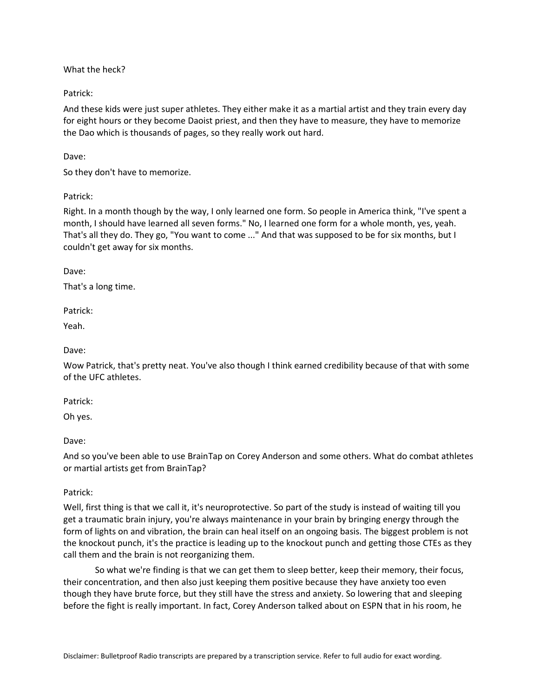What the heck?

Patrick:

And these kids were just super athletes. They either make it as a martial artist and they train every day for eight hours or they become Daoist priest, and then they have to measure, they have to memorize the Dao which is thousands of pages, so they really work out hard.

Dave:

So they don't have to memorize.

Patrick:

Right. In a month though by the way, I only learned one form. So people in America think, "I've spent a month, I should have learned all seven forms." No, I learned one form for a whole month, yes, yeah. That's all they do. They go, "You want to come ..." And that was supposed to be for six months, but I couldn't get away for six months.

Dave:

That's a long time.

Patrick:

Yeah.

Dave:

Wow Patrick, that's pretty neat. You've also though I think earned credibility because of that with some of the UFC athletes.

Patrick:

Oh yes.

Dave:

And so you've been able to use BrainTap on Corey Anderson and some others. What do combat athletes or martial artists get from BrainTap?

Patrick:

Well, first thing is that we call it, it's neuroprotective. So part of the study is instead of waiting till you get a traumatic brain injury, you're always maintenance in your brain by bringing energy through the form of lights on and vibration, the brain can heal itself on an ongoing basis. The biggest problem is not the knockout punch, it's the practice is leading up to the knockout punch and getting those CTEs as they call them and the brain is not reorganizing them.

So what we're finding is that we can get them to sleep better, keep their memory, their focus, their concentration, and then also just keeping them positive because they have anxiety too even though they have brute force, but they still have the stress and anxiety. So lowering that and sleeping before the fight is really important. In fact, Corey Anderson talked about on ESPN that in his room, he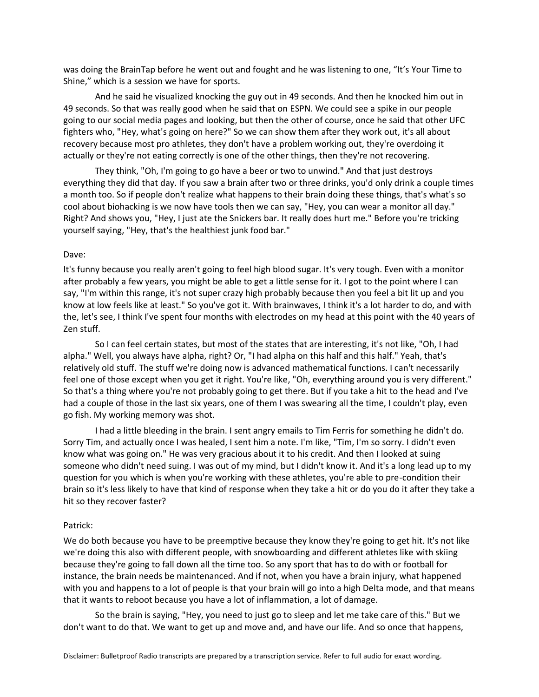was doing the BrainTap before he went out and fought and he was listening to one, "It's Your Time to Shine," which is a session we have for sports.

And he said he visualized knocking the guy out in 49 seconds. And then he knocked him out in 49 seconds. So that was really good when he said that on ESPN. We could see a spike in our people going to our social media pages and looking, but then the other of course, once he said that other UFC fighters who, "Hey, what's going on here?" So we can show them after they work out, it's all about recovery because most pro athletes, they don't have a problem working out, they're overdoing it actually or they're not eating correctly is one of the other things, then they're not recovering.

They think, "Oh, I'm going to go have a beer or two to unwind." And that just destroys everything they did that day. If you saw a brain after two or three drinks, you'd only drink a couple times a month too. So if people don't realize what happens to their brain doing these things, that's what's so cool about biohacking is we now have tools then we can say, "Hey, you can wear a monitor all day." Right? And shows you, "Hey, I just ate the Snickers bar. It really does hurt me." Before you're tricking yourself saying, "Hey, that's the healthiest junk food bar."

#### Dave:

It's funny because you really aren't going to feel high blood sugar. It's very tough. Even with a monitor after probably a few years, you might be able to get a little sense for it. I got to the point where I can say, "I'm within this range, it's not super crazy high probably because then you feel a bit lit up and you know at low feels like at least." So you've got it. With brainwaves, I think it's a lot harder to do, and with the, let's see, I think I've spent four months with electrodes on my head at this point with the 40 years of Zen stuff.

So I can feel certain states, but most of the states that are interesting, it's not like, "Oh, I had alpha." Well, you always have alpha, right? Or, "I had alpha on this half and this half." Yeah, that's relatively old stuff. The stuff we're doing now is advanced mathematical functions. I can't necessarily feel one of those except when you get it right. You're like, "Oh, everything around you is very different." So that's a thing where you're not probably going to get there. But if you take a hit to the head and I've had a couple of those in the last six years, one of them I was swearing all the time, I couldn't play, even go fish. My working memory was shot.

I had a little bleeding in the brain. I sent angry emails to Tim Ferris for something he didn't do. Sorry Tim, and actually once I was healed, I sent him a note. I'm like, "Tim, I'm so sorry. I didn't even know what was going on." He was very gracious about it to his credit. And then I looked at suing someone who didn't need suing. I was out of my mind, but I didn't know it. And it's a long lead up to my question for you which is when you're working with these athletes, you're able to pre-condition their brain so it's less likely to have that kind of response when they take a hit or do you do it after they take a hit so they recover faster?

#### Patrick:

We do both because you have to be preemptive because they know they're going to get hit. It's not like we're doing this also with different people, with snowboarding and different athletes like with skiing because they're going to fall down all the time too. So any sport that has to do with or football for instance, the brain needs be maintenanced. And if not, when you have a brain injury, what happened with you and happens to a lot of people is that your brain will go into a high Delta mode, and that means that it wants to reboot because you have a lot of inflammation, a lot of damage.

So the brain is saying, "Hey, you need to just go to sleep and let me take care of this." But we don't want to do that. We want to get up and move and, and have our life. And so once that happens,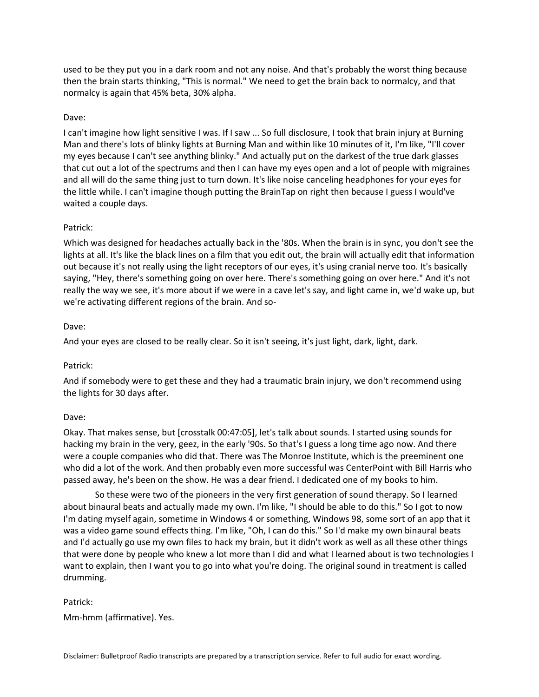used to be they put you in a dark room and not any noise. And that's probably the worst thing because then the brain starts thinking, "This is normal." We need to get the brain back to normalcy, and that normalcy is again that 45% beta, 30% alpha.

### Dave:

I can't imagine how light sensitive I was. If I saw ... So full disclosure, I took that brain injury at Burning Man and there's lots of blinky lights at Burning Man and within like 10 minutes of it, I'm like, "I'll cover my eyes because I can't see anything blinky." And actually put on the darkest of the true dark glasses that cut out a lot of the spectrums and then I can have my eyes open and a lot of people with migraines and all will do the same thing just to turn down. It's like noise canceling headphones for your eyes for the little while. I can't imagine though putting the BrainTap on right then because I guess I would've waited a couple days.

#### Patrick:

Which was designed for headaches actually back in the '80s. When the brain is in sync, you don't see the lights at all. It's like the black lines on a film that you edit out, the brain will actually edit that information out because it's not really using the light receptors of our eyes, it's using cranial nerve too. It's basically saying, "Hey, there's something going on over here. There's something going on over here." And it's not really the way we see, it's more about if we were in a cave let's say, and light came in, we'd wake up, but we're activating different regions of the brain. And so-

#### Dave:

And your eyes are closed to be really clear. So it isn't seeing, it's just light, dark, light, dark.

#### Patrick:

And if somebody were to get these and they had a traumatic brain injury, we don't recommend using the lights for 30 days after.

#### Dave:

Okay. That makes sense, but [crosstalk 00:47:05], let's talk about sounds. I started using sounds for hacking my brain in the very, geez, in the early '90s. So that's I guess a long time ago now. And there were a couple companies who did that. There was The Monroe Institute, which is the preeminent one who did a lot of the work. And then probably even more successful was CenterPoint with Bill Harris who passed away, he's been on the show. He was a dear friend. I dedicated one of my books to him.

So these were two of the pioneers in the very first generation of sound therapy. So I learned about binaural beats and actually made my own. I'm like, "I should be able to do this." So I got to now I'm dating myself again, sometime in Windows 4 or something, Windows 98, some sort of an app that it was a video game sound effects thing. I'm like, "Oh, I can do this." So I'd make my own binaural beats and I'd actually go use my own files to hack my brain, but it didn't work as well as all these other things that were done by people who knew a lot more than I did and what I learned about is two technologies I want to explain, then I want you to go into what you're doing. The original sound in treatment is called drumming.

#### Patrick:

Mm-hmm (affirmative). Yes.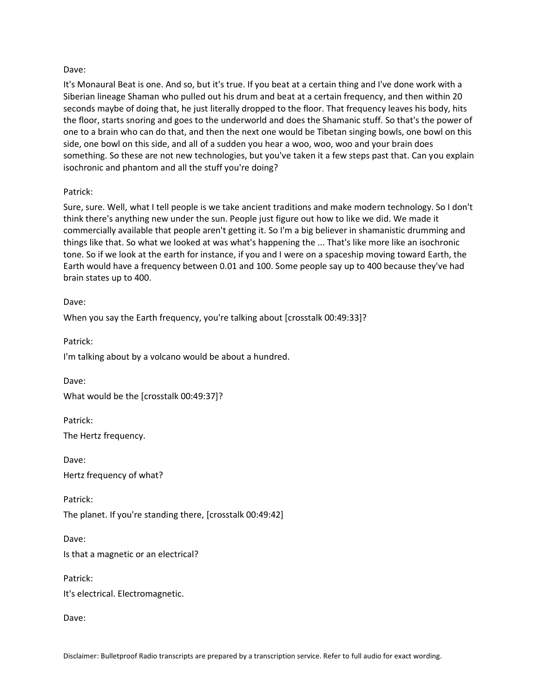### Dave:

It's Monaural Beat is one. And so, but it's true. If you beat at a certain thing and I've done work with a Siberian lineage Shaman who pulled out his drum and beat at a certain frequency, and then within 20 seconds maybe of doing that, he just literally dropped to the floor. That frequency leaves his body, hits the floor, starts snoring and goes to the underworld and does the Shamanic stuff. So that's the power of one to a brain who can do that, and then the next one would be Tibetan singing bowls, one bowl on this side, one bowl on this side, and all of a sudden you hear a woo, woo, woo and your brain does something. So these are not new technologies, but you've taken it a few steps past that. Can you explain isochronic and phantom and all the stuff you're doing?

### Patrick:

Sure, sure. Well, what I tell people is we take ancient traditions and make modern technology. So I don't think there's anything new under the sun. People just figure out how to like we did. We made it commercially available that people aren't getting it. So I'm a big believer in shamanistic drumming and things like that. So what we looked at was what's happening the ... That's like more like an isochronic tone. So if we look at the earth for instance, if you and I were on a spaceship moving toward Earth, the Earth would have a frequency between 0.01 and 100. Some people say up to 400 because they've had brain states up to 400.

Dave:

When you say the Earth frequency, you're talking about [crosstalk 00:49:33]?

Patrick: I'm talking about by a volcano would be about a hundred.

Dave:

What would be the [crosstalk 00:49:37]?

Patrick:

The Hertz frequency.

Dave: Hertz frequency of what?

Patrick: The planet. If you're standing there, [crosstalk 00:49:42]

Dave:

Is that a magnetic or an electrical?

Patrick:

It's electrical. Electromagnetic.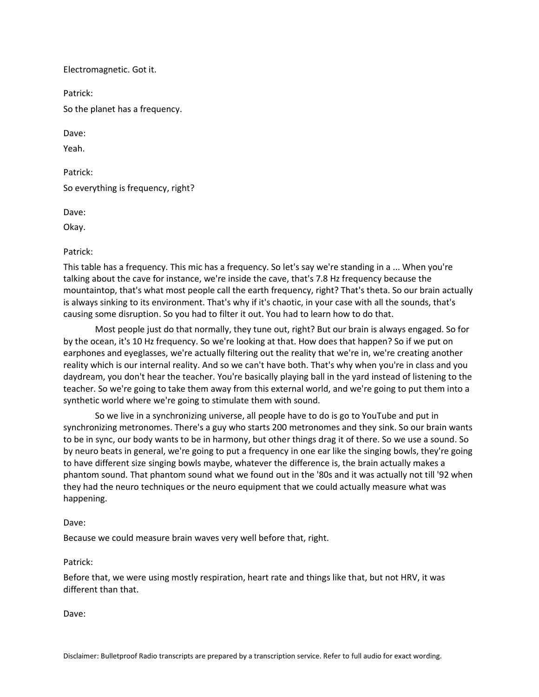Electromagnetic. Got it.

Patrick:

So the planet has a frequency.

Dave:

Yeah.

Patrick: So everything is frequency, right?

Dave:

Okay.

### Patrick:

This table has a frequency. This mic has a frequency. So let's say we're standing in a ... When you're talking about the cave for instance, we're inside the cave, that's 7.8 Hz frequency because the mountaintop, that's what most people call the earth frequency, right? That's theta. So our brain actually is always sinking to its environment. That's why if it's chaotic, in your case with all the sounds, that's causing some disruption. So you had to filter it out. You had to learn how to do that.

Most people just do that normally, they tune out, right? But our brain is always engaged. So for by the ocean, it's 10 Hz frequency. So we're looking at that. How does that happen? So if we put on earphones and eyeglasses, we're actually filtering out the reality that we're in, we're creating another reality which is our internal reality. And so we can't have both. That's why when you're in class and you daydream, you don't hear the teacher. You're basically playing ball in the yard instead of listening to the teacher. So we're going to take them away from this external world, and we're going to put them into a synthetic world where we're going to stimulate them with sound.

So we live in a synchronizing universe, all people have to do is go to YouTube and put in synchronizing metronomes. There's a guy who starts 200 metronomes and they sink. So our brain wants to be in sync, our body wants to be in harmony, but other things drag it of there. So we use a sound. So by neuro beats in general, we're going to put a frequency in one ear like the singing bowls, they're going to have different size singing bowls maybe, whatever the difference is, the brain actually makes a phantom sound. That phantom sound what we found out in the '80s and it was actually not till '92 when they had the neuro techniques or the neuro equipment that we could actually measure what was happening.

### Dave:

Because we could measure brain waves very well before that, right.

#### Patrick:

Before that, we were using mostly respiration, heart rate and things like that, but not HRV, it was different than that.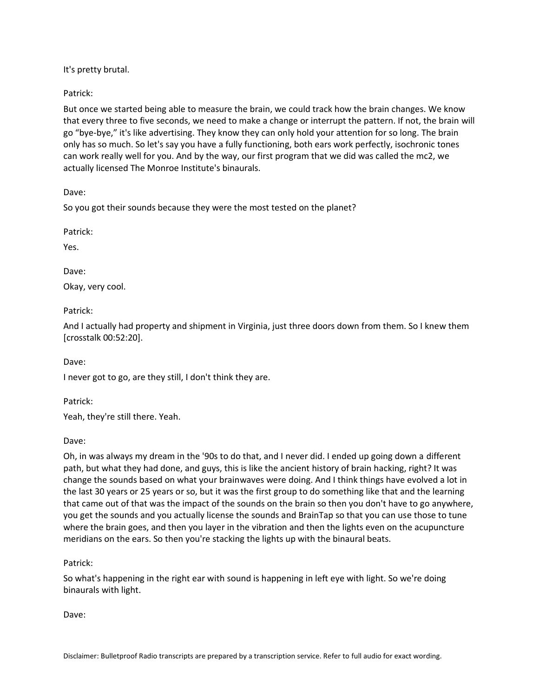It's pretty brutal.

Patrick:

But once we started being able to measure the brain, we could track how the brain changes. We know that every three to five seconds, we need to make a change or interrupt the pattern. If not, the brain will go "bye-bye," it's like advertising. They know they can only hold your attention for so long. The brain only has so much. So let's say you have a fully functioning, both ears work perfectly, isochronic tones can work really well for you. And by the way, our first program that we did was called the mc2, we actually licensed The Monroe Institute's binaurals.

Dave:

So you got their sounds because they were the most tested on the planet?

Patrick:

Yes.

Dave:

Okay, very cool.

Patrick:

And I actually had property and shipment in Virginia, just three doors down from them. So I knew them [crosstalk 00:52:20].

Dave:

I never got to go, are they still, I don't think they are.

Patrick:

Yeah, they're still there. Yeah.

Dave:

Oh, in was always my dream in the '90s to do that, and I never did. I ended up going down a different path, but what they had done, and guys, this is like the ancient history of brain hacking, right? It was change the sounds based on what your brainwaves were doing. And I think things have evolved a lot in the last 30 years or 25 years or so, but it was the first group to do something like that and the learning that came out of that was the impact of the sounds on the brain so then you don't have to go anywhere, you get the sounds and you actually license the sounds and BrainTap so that you can use those to tune where the brain goes, and then you layer in the vibration and then the lights even on the acupuncture meridians on the ears. So then you're stacking the lights up with the binaural beats.

Patrick:

So what's happening in the right ear with sound is happening in left eye with light. So we're doing binaurals with light.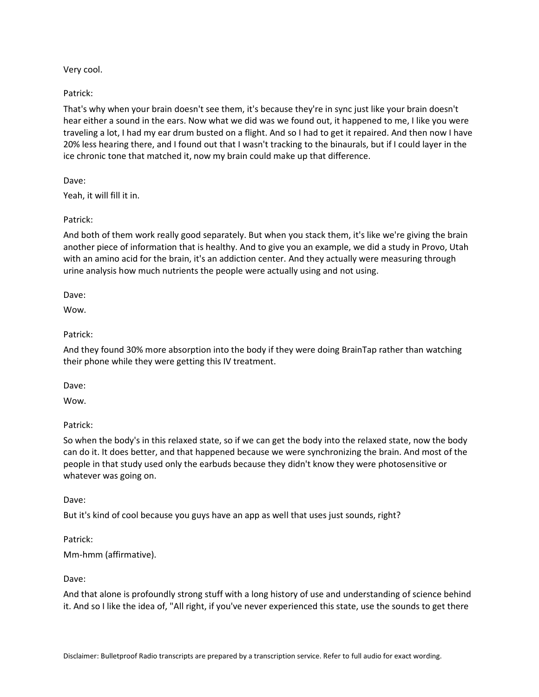Very cool.

Patrick:

That's why when your brain doesn't see them, it's because they're in sync just like your brain doesn't hear either a sound in the ears. Now what we did was we found out, it happened to me, I like you were traveling a lot, I had my ear drum busted on a flight. And so I had to get it repaired. And then now I have 20% less hearing there, and I found out that I wasn't tracking to the binaurals, but if I could layer in the ice chronic tone that matched it, now my brain could make up that difference.

Dave:

Yeah, it will fill it in.

Patrick:

And both of them work really good separately. But when you stack them, it's like we're giving the brain another piece of information that is healthy. And to give you an example, we did a study in Provo, Utah with an amino acid for the brain, it's an addiction center. And they actually were measuring through urine analysis how much nutrients the people were actually using and not using.

Dave:

Wow.

Patrick:

And they found 30% more absorption into the body if they were doing BrainTap rather than watching their phone while they were getting this IV treatment.

Dave:

Wow.

Patrick:

So when the body's in this relaxed state, so if we can get the body into the relaxed state, now the body can do it. It does better, and that happened because we were synchronizing the brain. And most of the people in that study used only the earbuds because they didn't know they were photosensitive or whatever was going on.

Dave:

But it's kind of cool because you guys have an app as well that uses just sounds, right?

Patrick: Mm-hmm (affirmative).

Dave:

And that alone is profoundly strong stuff with a long history of use and understanding of science behind it. And so I like the idea of, "All right, if you've never experienced this state, use the sounds to get there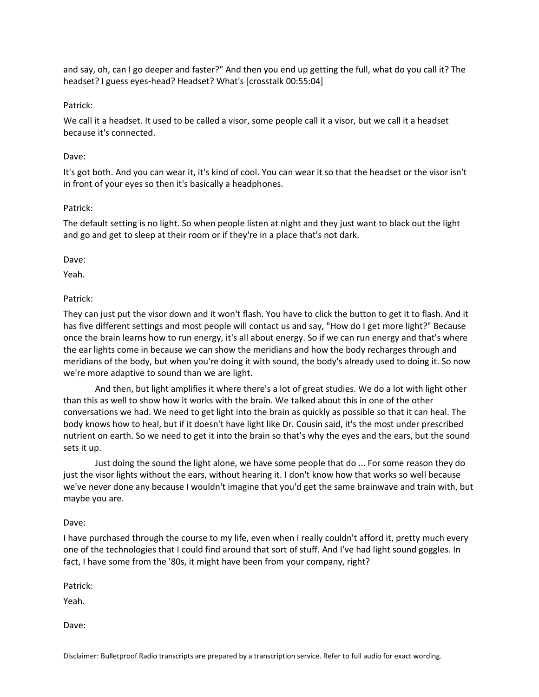and say, oh, can I go deeper and faster?" And then you end up getting the full, what do you call it? The headset? I guess eyes-head? Headset? What's [crosstalk 00:55:04]

# Patrick:

We call it a headset. It used to be called a visor, some people call it a visor, but we call it a headset because it's connected.

### Dave:

It's got both. And you can wear it, it's kind of cool. You can wear it so that the headset or the visor isn't in front of your eyes so then it's basically a headphones.

### Patrick:

The default setting is no light. So when people listen at night and they just want to black out the light and go and get to sleep at their room or if they're in a place that's not dark.

Dave:

Yeah.

### Patrick:

They can just put the visor down and it won't flash. You have to click the button to get it to flash. And it has five different settings and most people will contact us and say, "How do I get more light?" Because once the brain learns how to run energy, it's all about energy. So if we can run energy and that's where the ear lights come in because we can show the meridians and how the body recharges through and meridians of the body, but when you're doing it with sound, the body's already used to doing it. So now we're more adaptive to sound than we are light.

And then, but light amplifies it where there's a lot of great studies. We do a lot with light other than this as well to show how it works with the brain. We talked about this in one of the other conversations we had. We need to get light into the brain as quickly as possible so that it can heal. The body knows how to heal, but if it doesn't have light like Dr. Cousin said, it's the most under prescribed nutrient on earth. So we need to get it into the brain so that's why the eyes and the ears, but the sound sets it up.

Just doing the sound the light alone, we have some people that do ... For some reason they do just the visor lights without the ears, without hearing it. I don't know how that works so well because we've never done any because I wouldn't imagine that you'd get the same brainwave and train with, but maybe you are.

#### Dave:

I have purchased through the course to my life, even when I really couldn't afford it, pretty much every one of the technologies that I could find around that sort of stuff. And I've had light sound goggles. In fact, I have some from the '80s, it might have been from your company, right?

Patrick:

Yeah.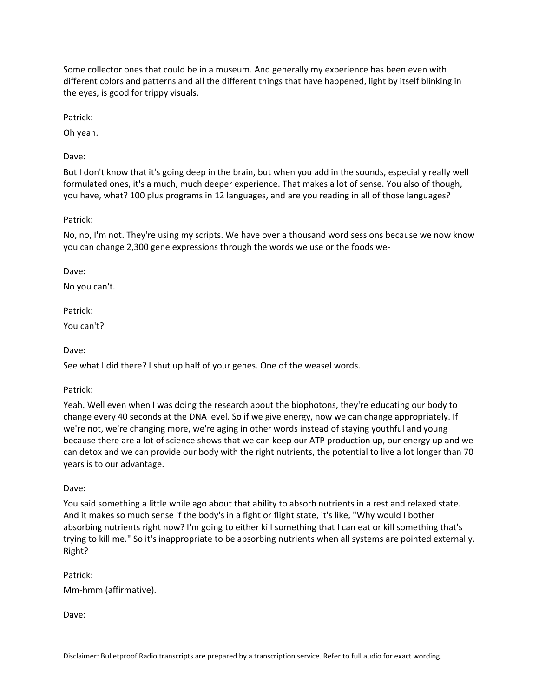Some collector ones that could be in a museum. And generally my experience has been even with different colors and patterns and all the different things that have happened, light by itself blinking in the eyes, is good for trippy visuals.

Patrick:

Oh yeah.

Dave:

But I don't know that it's going deep in the brain, but when you add in the sounds, especially really well formulated ones, it's a much, much deeper experience. That makes a lot of sense. You also of though, you have, what? 100 plus programs in 12 languages, and are you reading in all of those languages?

Patrick:

No, no, I'm not. They're using my scripts. We have over a thousand word sessions because we now know you can change 2,300 gene expressions through the words we use or the foods we-

Dave:

No you can't.

Patrick:

You can't?

Dave:

See what I did there? I shut up half of your genes. One of the weasel words.

Patrick:

Yeah. Well even when I was doing the research about the biophotons, they're educating our body to change every 40 seconds at the DNA level. So if we give energy, now we can change appropriately. If we're not, we're changing more, we're aging in other words instead of staying youthful and young because there are a lot of science shows that we can keep our ATP production up, our energy up and we can detox and we can provide our body with the right nutrients, the potential to live a lot longer than 70 years is to our advantage.

Dave:

You said something a little while ago about that ability to absorb nutrients in a rest and relaxed state. And it makes so much sense if the body's in a fight or flight state, it's like, "Why would I bother absorbing nutrients right now? I'm going to either kill something that I can eat or kill something that's trying to kill me." So it's inappropriate to be absorbing nutrients when all systems are pointed externally. Right?

Patrick:

Mm-hmm (affirmative).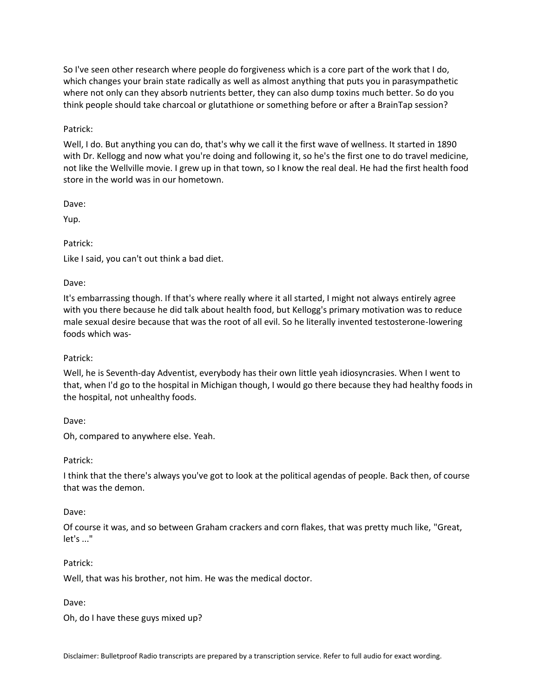So I've seen other research where people do forgiveness which is a core part of the work that I do, which changes your brain state radically as well as almost anything that puts you in parasympathetic where not only can they absorb nutrients better, they can also dump toxins much better. So do you think people should take charcoal or glutathione or something before or after a BrainTap session?

# Patrick:

Well, I do. But anything you can do, that's why we call it the first wave of wellness. It started in 1890 with Dr. Kellogg and now what you're doing and following it, so he's the first one to do travel medicine, not like the Wellville movie. I grew up in that town, so I know the real deal. He had the first health food store in the world was in our hometown.

Dave:

Yup.

# Patrick:

Like I said, you can't out think a bad diet.

### Dave:

It's embarrassing though. If that's where really where it all started, I might not always entirely agree with you there because he did talk about health food, but Kellogg's primary motivation was to reduce male sexual desire because that was the root of all evil. So he literally invented testosterone-lowering foods which was-

# Patrick:

Well, he is Seventh-day Adventist, everybody has their own little yeah idiosyncrasies. When I went to that, when I'd go to the hospital in Michigan though, I would go there because they had healthy foods in the hospital, not unhealthy foods.

Dave:

Oh, compared to anywhere else. Yeah.

Patrick:

I think that the there's always you've got to look at the political agendas of people. Back then, of course that was the demon.

#### Dave:

Of course it was, and so between Graham crackers and corn flakes, that was pretty much like, "Great, let's ..."

#### Patrick:

Well, that was his brother, not him. He was the medical doctor.

Dave:

Oh, do I have these guys mixed up?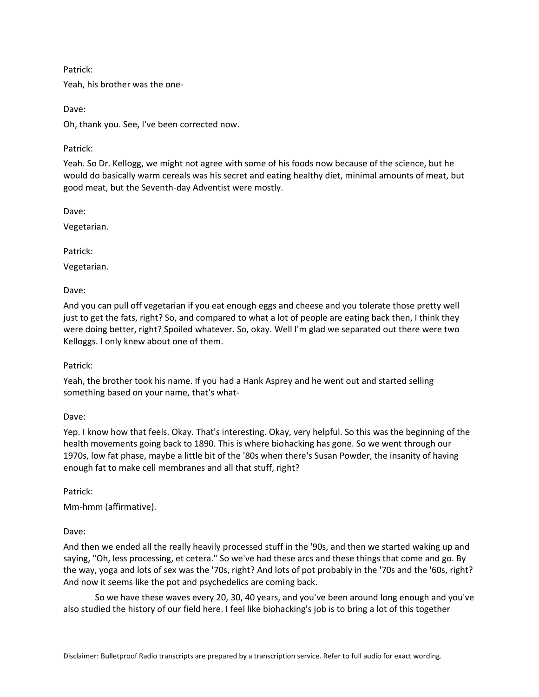# Patrick:

Yeah, his brother was the one-

Dave:

Oh, thank you. See, I've been corrected now.

# Patrick:

Yeah. So Dr. Kellogg, we might not agree with some of his foods now because of the science, but he would do basically warm cereals was his secret and eating healthy diet, minimal amounts of meat, but good meat, but the Seventh-day Adventist were mostly.

Dave:

Vegetarian.

Patrick:

Vegetarian.

Dave:

And you can pull off vegetarian if you eat enough eggs and cheese and you tolerate those pretty well just to get the fats, right? So, and compared to what a lot of people are eating back then, I think they were doing better, right? Spoiled whatever. So, okay. Well I'm glad we separated out there were two Kelloggs. I only knew about one of them.

# Patrick:

Yeah, the brother took his name. If you had a Hank Asprey and he went out and started selling something based on your name, that's what-

Dave:

Yep. I know how that feels. Okay. That's interesting. Okay, very helpful. So this was the beginning of the health movements going back to 1890. This is where biohacking has gone. So we went through our 1970s, low fat phase, maybe a little bit of the '80s when there's Susan Powder, the insanity of having enough fat to make cell membranes and all that stuff, right?

Patrick:

Mm-hmm (affirmative).

Dave:

And then we ended all the really heavily processed stuff in the '90s, and then we started waking up and saying, "Oh, less processing, et cetera." So we've had these arcs and these things that come and go. By the way, yoga and lots of sex was the '70s, right? And lots of pot probably in the '70s and the '60s, right? And now it seems like the pot and psychedelics are coming back.

So we have these waves every 20, 30, 40 years, and you've been around long enough and you've also studied the history of our field here. I feel like biohacking's job is to bring a lot of this together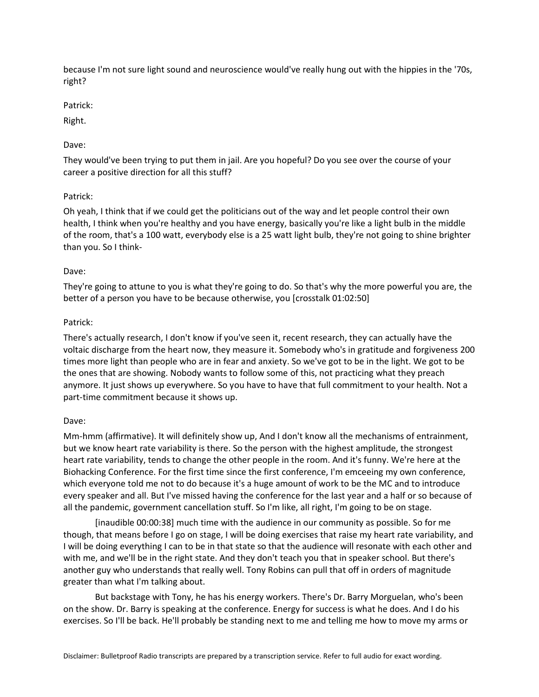because I'm not sure light sound and neuroscience would've really hung out with the hippies in the '70s, right?

Patrick:

Right.

# Dave:

They would've been trying to put them in jail. Are you hopeful? Do you see over the course of your career a positive direction for all this stuff?

# Patrick:

Oh yeah, I think that if we could get the politicians out of the way and let people control their own health, I think when you're healthy and you have energy, basically you're like a light bulb in the middle of the room, that's a 100 watt, everybody else is a 25 watt light bulb, they're not going to shine brighter than you. So I think-

# Dave:

They're going to attune to you is what they're going to do. So that's why the more powerful you are, the better of a person you have to be because otherwise, you [crosstalk 01:02:50]

# Patrick:

There's actually research, I don't know if you've seen it, recent research, they can actually have the voltaic discharge from the heart now, they measure it. Somebody who's in gratitude and forgiveness 200 times more light than people who are in fear and anxiety. So we've got to be in the light. We got to be the ones that are showing. Nobody wants to follow some of this, not practicing what they preach anymore. It just shows up everywhere. So you have to have that full commitment to your health. Not a part-time commitment because it shows up.

# Dave:

Mm-hmm (affirmative). It will definitely show up, And I don't know all the mechanisms of entrainment, but we know heart rate variability is there. So the person with the highest amplitude, the strongest heart rate variability, tends to change the other people in the room. And it's funny. We're here at the Biohacking Conference. For the first time since the first conference, I'm emceeing my own conference, which everyone told me not to do because it's a huge amount of work to be the MC and to introduce every speaker and all. But I've missed having the conference for the last year and a half or so because of all the pandemic, government cancellation stuff. So I'm like, all right, I'm going to be on stage.

[inaudible 00:00:38] much time with the audience in our community as possible. So for me though, that means before I go on stage, I will be doing exercises that raise my heart rate variability, and I will be doing everything I can to be in that state so that the audience will resonate with each other and with me, and we'll be in the right state. And they don't teach you that in speaker school. But there's another guy who understands that really well. Tony Robins can pull that off in orders of magnitude greater than what I'm talking about.

But backstage with Tony, he has his energy workers. There's Dr. Barry Morguelan, who's been on the show. Dr. Barry is speaking at the conference. Energy for success is what he does. And I do his exercises. So I'll be back. He'll probably be standing next to me and telling me how to move my arms or